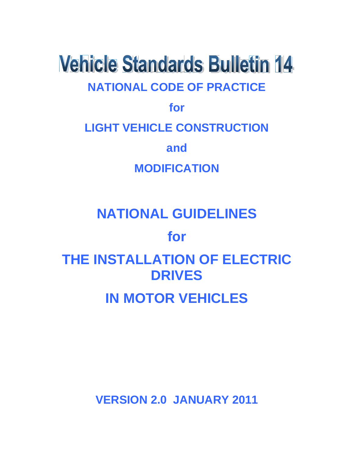# **Vehicle Standards Bulletin 14 NATIONAL CODE OF PRACTICE**

**for**

**LIGHT VEHICLE CONSTRUCTION**

**and**

**MODIFICATION**

## **NATIONAL GUIDELINES**

## **for**

## **THE INSTALLATION OF ELECTRIC DRIVES**

## **IN MOTOR VEHICLES**

**VERSION 2.0 JANUARY 2011**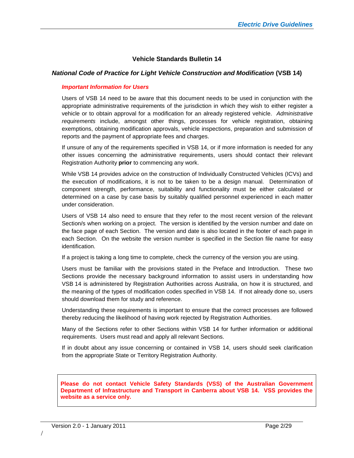#### **Vehicle Standards Bulletin 14**

#### *National Code of Practice for Light Vehicle Construction and Modification* **(VSB 14)**

#### *Important Information for Users*

Users of VSB 14 need to be aware that this document needs to be used in conjunction with the appropriate administrative requirements of the jurisdiction in which they wish to either register a vehicle or to obtain approval for a modification for an already registered vehicle. *Administrative requirements* include, amongst other things, processes for vehicle registration, obtaining exemptions, obtaining modification approvals, vehicle inspections, preparation and submission of reports and the payment of appropriate fees and charges.

If unsure of any of the requirements specified in VSB 14, or if more information is needed for any other issues concerning the administrative requirements, users should contact their relevant Registration Authority **prior** to commencing any work.

While VSB 14 provides advice on the construction of Individually Constructed Vehicles (ICVs) and the execution of modifications, it is not to be taken to be a design manual. Determination of component strength, performance, suitability and functionality must be either calculated or determined on a case by case basis by suitably qualified personnel experienced in each matter under consideration.

Users of VSB 14 also need to ensure that they refer to the most recent version of the relevant Section/s when working on a project. The version is identified by the version number and date on the face page of each Section. The version and date is also located in the footer of each page in each Section. On the website the version number is specified in the Section file name for easy identification.

If a project is taking a long time to complete, check the currency of the version you are using.

Users must be familiar with the provisions stated in the Preface and Introduction. These two Sections provide the necessary background information to assist users in understanding how VSB 14 is administered by Registration Authorities across Australia, on how it is structured, and the meaning of the types of modification codes specified in VSB 14. If not already done so, users should download them for study and reference.

Understanding these requirements is important to ensure that the correct processes are followed thereby reducing the likelihood of having work rejected by Registration Authorities.

Many of the Sections refer to other Sections within VSB 14 for further information or additional requirements. Users must read and apply all relevant Sections.

If in doubt about any issue concerning or contained in VSB 14, users should seek clarification from the appropriate State or Territory Registration Authority.

**Please do not contact Vehicle Safety Standards (VSS) of the Australian Government Department of Infrastructure and Transport in Canberra about VSB 14. VSS provides the website as a service only.**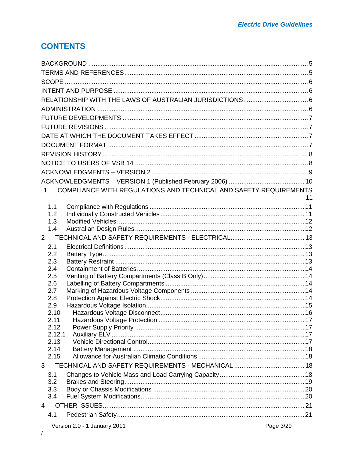### **CONTENTS**

| COMPLIANCE WITH REGULATIONS AND TECHNICAL AND SAFETY REQUIREMENTS<br>$\mathbf 1$ |    |
|----------------------------------------------------------------------------------|----|
|                                                                                  | 11 |
| 1.1<br>1.2                                                                       |    |
| 1.3                                                                              |    |
| 1.4                                                                              |    |
| $2^{\circ}$                                                                      |    |
| 2.1                                                                              |    |
| 2.2                                                                              |    |
| 2.3                                                                              |    |
| 2.4                                                                              |    |
| 2.5<br>2.6                                                                       |    |
| 2.7                                                                              |    |
| 2.8                                                                              |    |
| 2.9                                                                              |    |
| 2.10                                                                             |    |
| 2.11                                                                             |    |
| 2.12<br>2.12.1                                                                   |    |
| 2.13                                                                             |    |
| 2.14                                                                             |    |
| 2.15                                                                             |    |
| 3                                                                                |    |
| 3.1                                                                              |    |
| 3.2                                                                              |    |
| 3.3                                                                              |    |
| 3.4                                                                              |    |
| 4                                                                                |    |
| 4.1                                                                              |    |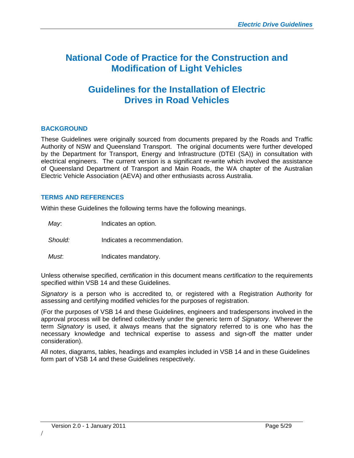## **National Code of Practice for the Construction and Modification of Light Vehicles**

### **Guidelines for the Installation of Electric Drives in Road Vehicles**

#### <span id="page-4-0"></span>**BACKGROUND**

These Guidelines were originally sourced from documents prepared by the Roads and Traffic Authority of NSW and Queensland Transport. The original documents were further developed by the Department for Transport, Energy and Infrastructure (DTEI (SA)) in consultation with electrical engineers. The current version is a significant re-write which involved the assistance of Queensland Department of Transport and Main Roads, the WA chapter of the Australian Electric Vehicle Association (AEVA) and other enthusiasts across Australia.

#### <span id="page-4-1"></span>**TERMS AND REFERENCES**

Within these Guidelines the following terms have the following meanings.

*May*: Indicates an option.

*Should:* Indicates a recommendation.

*Must*: Indicates mandatory.

Unless otherwise specified, *certification* in this document means *certification* to the requirements specified within VSB 14 and these Guidelines.

*Signatory* is a person who is accredited to, or registered with a Registration Authority for assessing and certifying modified vehicles for the purposes of registration.

(For the purposes of VSB 14 and these Guidelines, engineers and tradespersons involved in the approval process will be defined collectively under the generic term of *Signatory*. Wherever the term *Signatory* is used, it always means that the signatory referred to is one who has the necessary knowledge and technical expertise to assess and sign-off the matter under consideration).

All notes, diagrams, tables, headings and examples included in VSB 14 and in these Guidelines form part of VSB 14 and these Guidelines respectively.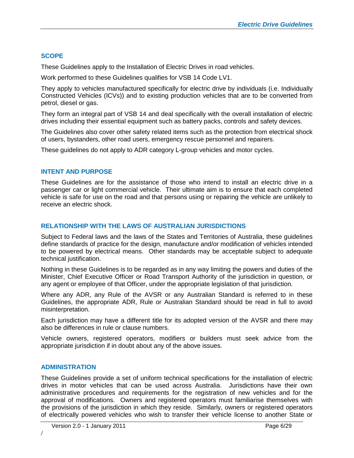#### <span id="page-5-0"></span>**SCOPE**

These Guidelines apply to the Installation of Electric Drives in road vehicles.

Work performed to these Guidelines qualifies for VSB 14 Code LV1.

They apply to vehicles manufactured specifically for electric drive by individuals (i.e. Individually Constructed Vehicles (ICVs)) and to existing production vehicles that are to be converted from petrol, diesel or gas.

They form an integral part of VSB 14 and deal specifically with the overall installation of electric drives including their essential equipment such as battery packs, controls and safety devices.

The Guidelines also cover other safety related items such as the protection from electrical shock of users, bystanders, other road users, emergency rescue personnel and repairers.

These guidelines do not apply to ADR category L-group vehicles and motor cycles.

#### <span id="page-5-1"></span>**INTENT AND PURPOSE**

These Guidelines are for the assistance of those who intend to install an electric drive in a passenger car or light commercial vehicle. Their ultimate aim is to ensure that each completed vehicle is safe for use on the road and that persons using or repairing the vehicle are unlikely to receive an electric shock.

#### <span id="page-5-2"></span>**RELATIONSHIP WITH THE LAWS OF AUSTRALIAN JURISDICTIONS**

Subject to Federal laws and the laws of the States and Territories of Australia, these guidelines define standards of practice for the design, manufacture and/or modification of vehicles intended to be powered by electrical means. Other standards may be acceptable subject to adequate technical justification.

Nothing in these Guidelines is to be regarded as in any way limiting the powers and duties of the Minister, Chief Executive Officer or Road Transport Authority of the jurisdiction in question, or any agent or employee of that Officer, under the appropriate legislation of that jurisdiction.

Where any ADR, any Rule of the AVSR or any Australian Standard is referred to in these Guidelines, the appropriate ADR, Rule or Australian Standard should be read in full to avoid misinterpretation.

Each jurisdiction may have a different title for its adopted version of the AVSR and there may also be differences in rule or clause numbers.

Vehicle owners, registered operators, modifiers or builders must seek advice from the appropriate jurisdiction if in doubt about any of the above issues.

#### <span id="page-5-3"></span>**ADMINISTRATION**

These Guidelines provide a set of uniform technical specifications for the installation of electric drives in motor vehicles that can be used across Australia. Jurisdictions have their own administrative procedures and requirements for the registration of new vehicles and for the approval of modifications. Owners and registered operators must familiarise themselves with the provisions of the jurisdiction in which they reside. Similarly, owners or registered operators of electrically powered vehicles who wish to transfer their vehicle license to another State or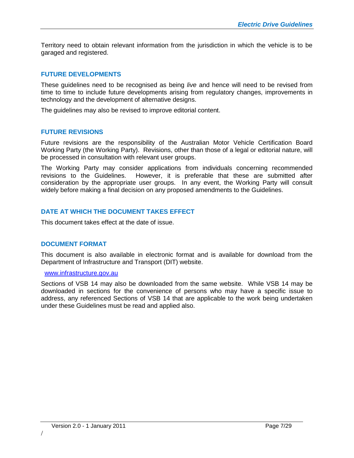Territory need to obtain relevant information from the jurisdiction in which the vehicle is to be garaged and registered.

#### <span id="page-6-0"></span>**FUTURE DEVELOPMENTS**

These guidelines need to be recognised as being *live* and hence will need to be revised from time to time to include future developments arising from regulatory changes, improvements in technology and the development of alternative designs.

The guidelines may also be revised to improve editorial content.

#### <span id="page-6-1"></span>**FUTURE REVISIONS**

Future revisions are the responsibility of the Australian Motor Vehicle Certification Board Working Party (the Working Party). Revisions, other than those of a legal or editorial nature, will be processed in consultation with relevant user groups.

The Working Party may consider applications from individuals concerning recommended revisions to the Guidelines. However, it is preferable that these are submitted after consideration by the appropriate user groups. In any event, the Working Party will consult widely before making a final decision on any proposed amendments to the Guidelines.

#### <span id="page-6-2"></span>**DATE AT WHICH THE DOCUMENT TAKES EFFECT**

This document takes effect at the date of issue.

#### <span id="page-6-3"></span>**DOCUMENT FORMAT**

This document is also available in electronic format and is available for download from the Department of Infrastructure and Transport (DIT) website.

#### [www.infrastructure.gov.au](http://www.infrastructure.gov.au/)

Sections of VSB 14 may also be downloaded from the same website. While VSB 14 may be downloaded in sections for the convenience of persons who may have a specific issue to address, any referenced Sections of VSB 14 that are applicable to the work being undertaken under these Guidelines must be read and applied also.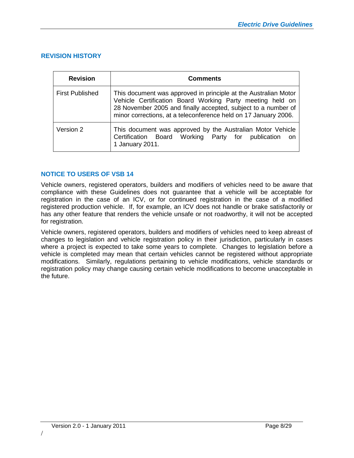#### <span id="page-7-0"></span>**REVISION HISTORY**

| <b>Revision</b>        | <b>Comments</b>                                                                                                                                                                                                                                                  |
|------------------------|------------------------------------------------------------------------------------------------------------------------------------------------------------------------------------------------------------------------------------------------------------------|
| <b>First Published</b> | This document was approved in principle at the Australian Motor<br>Vehicle Certification Board Working Party meeting held on<br>28 November 2005 and finally accepted, subject to a number of<br>minor corrections, at a teleconference held on 17 January 2006. |
| Version 2              | This document was approved by the Australian Motor Vehicle<br>Certification Board Working Party for<br>publication<br>on<br>1 January 2011.                                                                                                                      |

#### <span id="page-7-1"></span>**NOTICE TO USERS OF VSB 14**

Vehicle owners, registered operators, builders and modifiers of vehicles need to be aware that compliance with these Guidelines does not guarantee that a vehicle will be acceptable for registration in the case of an ICV, or for continued registration in the case of a modified registered production vehicle. If, for example, an ICV does not handle or brake satisfactorily or has any other feature that renders the vehicle unsafe or not roadworthy, it will not be accepted for registration.

Vehicle owners, registered operators, builders and modifiers of vehicles need to keep abreast of changes to legislation and vehicle registration policy in their jurisdiction, particularly in cases where a project is expected to take some years to complete. Changes to legislation before a vehicle is completed may mean that certain vehicles cannot be registered without appropriate modifications. Similarly, regulations pertaining to vehicle modifications, vehicle standards or registration policy may change causing certain vehicle modifications to become unacceptable in the future.

/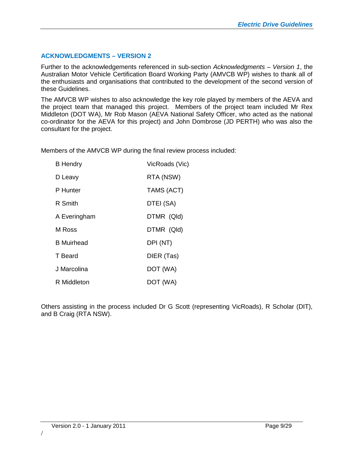#### <span id="page-8-0"></span>**ACKNOWLEDGMENTS – VERSION 2**

Further to the acknowledgements referenced in sub-section *Acknowledgments – Version 1*, the Australian Motor Vehicle Certification Board Working Party (AMVCB WP) wishes to thank all of the enthusiasts and organisations that contributed to the development of the second version of these Guidelines.

The AMVCB WP wishes to also acknowledge the key role played by members of the AEVA and the project team that managed this project. Members of the project team included Mr Rex Middleton (DOT WA), Mr Rob Mason (AEVA National Safety Officer, who acted as the national co-ordinator for the AEVA for this project) and John Dombrose (JD PERTH) who was also the consultant for the project.

Members of the AMVCB WP during the final review process included:

| <b>B</b> Hendry   | VicRoads (Vic) |
|-------------------|----------------|
| D Leavy           | RTA (NSW)      |
| P Hunter          | TAMS (ACT)     |
| R Smith           | DTEI (SA)      |
| A Everingham      | DTMR (QId)     |
| M Ross            | DTMR (QId)     |
| <b>B</b> Muirhead | DPI (NT)       |
| T Beard           | DIER (Tas)     |
| J Marcolina       | DOT (WA)       |
| R Middleton       | DOT (WA)       |

Others assisting in the process included Dr G Scott (representing VicRoads), R Scholar (DIT), and B Craig (RTA NSW).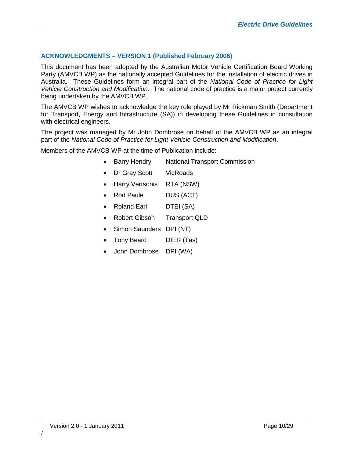#### <span id="page-9-0"></span>**ACKNOWLEDGMENTS – VERSION 1 (Published February 2006)**

This document has been adopted by the Australian Motor Vehicle Certification Board Working Party (AMVCB WP) as the nationally accepted Guidelines for the installation of electric drives in Australia. These Guidelines form an integral part of the *National Code of Practice for Light Vehicle Construction and Modification*. The national code of practice is a major project currently being undertaken by the AMVCB WP.

The AMVCB WP wishes to acknowledge the key role played by Mr Rickman Smith (Department for Transport, Energy and Infrastructure (SA)) in developing these Guidelines in consultation with electrical engineers.

The project was managed by Mr John Dombrose on behalf of the AMVCB WP as an integral part of the *National Code of Practice for Light Vehicle Construction and Modification*.

Members of the AMVCB WP at the time of Publication include:

- Barry Hendry National Transport Commission
- Dr Gray Scott VicRoads
- Harry Vertsonis RTA (NSW)
- Rod Paule DUS (ACT)
- Roland Earl DTEI (SA)
- Robert Gibson Transport QLD
- Simon Saunders DPI (NT)
- Tony Beard DIER (Tas)
- John Dombrose DPI (WA)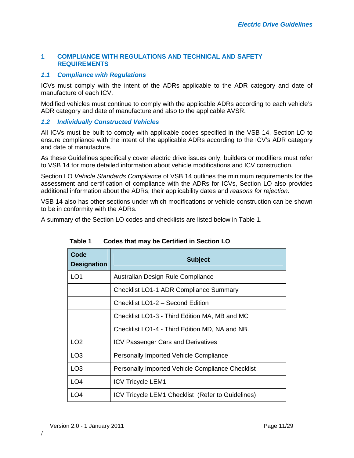#### <span id="page-10-0"></span>**1 COMPLIANCE WITH REGULATIONS AND TECHNICAL AND SAFETY REQUIREMENTS**

#### <span id="page-10-1"></span>*1.1 Compliance with Regulations*

ICVs must comply with the intent of the ADRs applicable to the ADR category and date of manufacture of each ICV.

Modified vehicles must continue to comply with the applicable ADRs according to each vehicle's ADR category and date of manufacture and also to the applicable AVSR.

#### <span id="page-10-2"></span>*1.2 Individually Constructed Vehicles*

All ICVs must be built to comply with applicable codes specified in the VSB 14, Section LO to ensure compliance with the intent of the applicable ADRs according to the ICV's ADR category and date of manufacture.

As these Guidelines specifically cover electric drive issues only, builders or modifiers must refer to VSB 14 for more detailed information about vehicle modifications and ICV construction.

Section LO *Vehicle Standards Compliance* of VSB 14 outlines the minimum requirements for the assessment and certification of compliance with the ADRs for ICVs, Section LO also provides additional information about the ADRs, their applicability dates and *reasons for rejection*.

VSB 14 also has other sections under which modifications or vehicle construction can be shown to be in conformity with the ADRs.

A summary of the Section LO codes and checklists are listed below in Table 1.

| Code<br><b>Designation</b> | <b>Subject</b>                                    |
|----------------------------|---------------------------------------------------|
| LO <sub>1</sub>            | Australian Design Rule Compliance                 |
|                            | <b>Checklist LO1-1 ADR Compliance Summary</b>     |
|                            | Checklist LO1-2 - Second Edition                  |
|                            | Checklist LO1-3 - Third Edition MA, MB and MC     |
|                            | Checklist LO1-4 - Third Edition MD, NA and NB.    |
| LO <sub>2</sub>            | <b>ICV Passenger Cars and Derivatives</b>         |
| LO <sub>3</sub>            | <b>Personally Imported Vehicle Compliance</b>     |
| LO <sub>3</sub>            | Personally Imported Vehicle Compliance Checklist  |
| LO <sub>4</sub>            | <b>ICV Tricycle LEM1</b>                          |
| LO <sub>4</sub>            | ICV Tricycle LEM1 Checklist (Refer to Guidelines) |

#### **Table 1 Codes that may be Certified in Section LO**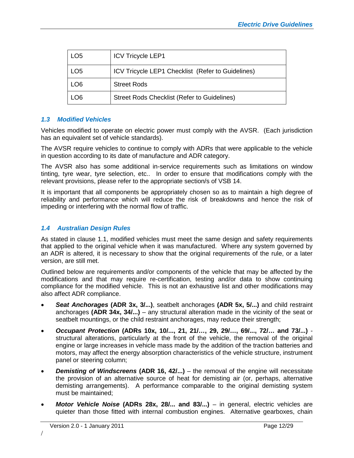| LO <sub>5</sub> | <b>ICV Tricycle LEP1</b>                          |
|-----------------|---------------------------------------------------|
| LO <sub>5</sub> | ICV Tricycle LEP1 Checklist (Refer to Guidelines) |
| LO <sub>6</sub> | <b>Street Rods</b>                                |
| LO <sub>6</sub> | Street Rods Checklist (Refer to Guidelines)       |

#### <span id="page-11-0"></span>*1.3 Modified Vehicles*

Vehicles modified to operate on electric power must comply with the AVSR. (Each jurisdiction has an equivalent set of vehicle standards).

The AVSR require vehicles to continue to comply with ADRs that were applicable to the vehicle in question according to its date of manufacture and ADR category.

The AVSR also has some additional in-service requirements such as limitations on window tinting, tyre wear, tyre selection, etc.. In order to ensure that modifications comply with the relevant provisions, please refer to the appropriate section/s of VSB 14.

It is important that all components be appropriately chosen so as to maintain a high degree of reliability and performance which will reduce the risk of breakdowns and hence the risk of impeding or interfering with the normal flow of traffic.

#### <span id="page-11-1"></span>*1.4 Australian Design Rules*

As stated in clause 1.1, modified vehicles must meet the same design and safety requirements that applied to the original vehicle when it was manufactured. Where any system governed by an ADR is altered, it is necessary to show that the original requirements of the rule, or a later version, are still met.

Outlined below are requirements and/or components of the vehicle that may be affected by the modifications and that may require re-certification, testing and/or data to show continuing compliance for the modified vehicle. This is not an exhaustive list and other modifications may also affect ADR compliance.

- *Seat Anchorages* **(ADR 3x, 3/...)**, seatbelt anchorages **(ADR 5x, 5/...)** and child restraint anchorages **(ADR 34x, 34/...)** – any structural alteration made in the vicinity of the seat or seatbelt mountings, or the child restraint anchorages, may reduce their strength;
- *Occupant Protection* **(ADRs 10x, 10/..., 21, 21/…, 29, 29/…, 69/..., 72/… and 73/...)** structural alterations, particularly at the front of the vehicle, the removal of the original engine or large increases in vehicle mass made by the addition of the traction batteries and motors, may affect the energy absorption characteristics of the vehicle structure, instrument panel or steering column;
- *Demisting of Windscreens* **(ADR 16, 42/...)** the removal of the engine will necessitate the provision of an alternative source of heat for demisting air (or, perhaps, alternative demisting arrangements). A performance comparable to the original demisting system must be maintained;
- *Motor Vehicle Noise* **(ADRs 28x, 28/... and 83/...)** in general, electric vehicles are quieter than those fitted with internal combustion engines. Alternative gearboxes, chain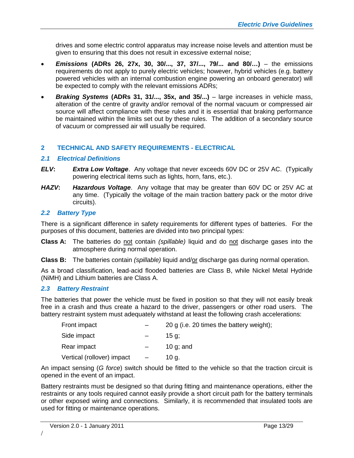drives and some electric control apparatus may increase noise levels and attention must be given to ensuring that this does not result in excessive external noise;

- *Emissions* **(ADRs 26, 27x, 30, 30/..., 37, 37/..., 79/... and 80/…)** the emissions requirements do not apply to purely electric vehicles; however, hybrid vehicles (e.g. battery powered vehicles with an internal combustion engine powering an onboard generator) will be expected to comply with the relevant emissions ADRs;
- *Braking Systems* **(ADRs 31, 31/..., 35x, and 35/...)** large increases in vehicle mass, alteration of the centre of gravity and/or removal of the normal vacuum or compressed air source will affect compliance with these rules and it is essential that braking performance be maintained within the limits set out by these rules. The addition of a secondary source of vacuum or compressed air will usually be required.

#### <span id="page-12-0"></span>**2 TECHNICAL AND SAFETY REQUIREMENTS - ELECTRICAL**

#### <span id="page-12-1"></span>*2.1 Electrical Definitions*

- *ELV***:** *Extra Low Voltage*. Any voltage that never exceeds 60V DC or 25V AC. (Typically powering electrical items such as lights, horn, fans, etc.).
- *HAZV***:** *Hazardous Voltage*. Any voltage that may be greater than 60V DC or 25V AC at any time. (Typically the voltage of the main traction battery pack or the motor drive circuits).

#### <span id="page-12-2"></span>*2.2 Battery Type*

There is a significant difference in safety requirements for different types of batteries. For the purposes of this document, batteries are divided into two principal types:

- **Class A:** The batteries do not contain *(spillable)* liquid and do not discharge gases into the atmosphere during normal operation.
- **Class B:** The batteries contain *(spillable)* liquid and/or discharge gas during normal operation.

As a broad classification, lead-acid flooded batteries are Class B, while Nickel Metal Hydride (NiMH) and Lithium batteries are Class A.

#### <span id="page-12-3"></span>*2.3 Battery Restraint*

The batteries that power the vehicle must be fixed in position so that they will not easily break free in a crash and thus create a hazard to the driver, passengers or other road users. The battery restraint system must adequately withstand at least the following crash accelerations:

| Front impact               | 20 g (i.e. 20 times the battery weight); |
|----------------------------|------------------------------------------|
| Side impact                | 15 a:                                    |
| Rear impact                | 10 $q$ ; and                             |
| Vertical (rollover) impact | 10 a.                                    |

An impact sensing (*G force*) switch should be fitted to the vehicle so that the traction circuit is opened in the event of an impact.

Battery restraints must be designed so that during fitting and maintenance operations, either the restraints or any tools required cannot easily provide a short circuit path for the battery terminals or other exposed wiring and connections. Similarly, it is recommended that insulated tools are used for fitting or maintenance operations.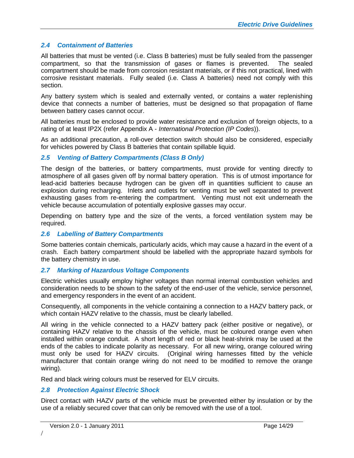#### <span id="page-13-0"></span>*2.4 Containment of Batteries*

All batteries that must be vented (i.e. Class B batteries) must be fully sealed from the passenger compartment, so that the transmission of gases or flames is prevented. The sealed compartment should be made from corrosion resistant materials, or if this not practical, lined with corrosive resistant materials. Fully sealed (i.e. Class A batteries) need not comply with this section.

Any battery system which is sealed and externally vented, or contains a water replenishing device that connects a number of batteries, must be designed so that propagation of flame between battery cases cannot occur.

All batteries must be enclosed to provide water resistance and exclusion of foreign objects, to a rating of at least IP2X (refer Appendix A - *International Protection (IP Codes*)).

As an additional precaution, a roll-over detection switch should also be considered, especially for vehicles powered by Class B batteries that contain spillable liquid.

#### <span id="page-13-1"></span>*2.5 Venting of Battery Compartments (Class B Only)*

The design of the batteries, or battery compartments, must provide for venting directly to atmosphere of all gases given off by normal battery operation. This is of utmost importance for lead-acid batteries because hydrogen can be given off in quantities sufficient to cause an explosion during recharging. Inlets and outlets for venting must be well separated to prevent exhausting gases from re-entering the compartment. Venting must not exit underneath the vehicle because accumulation of potentially explosive gasses may occur.

Depending on battery type and the size of the vents, a forced ventilation system may be required.

#### <span id="page-13-2"></span>*2.6 Labelling of Battery Compartments*

Some batteries contain chemicals, particularly acids, which may cause a hazard in the event of a crash. Each battery compartment should be labelled with the appropriate hazard symbols for the battery chemistry in use.

#### <span id="page-13-3"></span>*2.7 Marking of Hazardous Voltage Components*

Electric vehicles usually employ higher voltages than normal internal combustion vehicles and consideration needs to be shown to the safety of the end-user of the vehicle, service personnel, and emergency responders in the event of an accident.

Consequently, all components in the vehicle containing a connection to a HAZV battery pack, or which contain HAZV relative to the chassis, must be clearly labelled.

All wiring in the vehicle connected to a HAZV battery pack (either positive or negative), or containing HAZV relative to the chassis of the vehicle, must be coloured orange even when installed within orange conduit. A short length of red or black heat-shrink may be used at the ends of the cables to indicate polarity as necessary. For all new wiring, orange coloured wiring must only be used for HAZV circuits. (Original wiring harnesses fitted by the vehicle manufacturer that contain orange wiring do not need to be modified to remove the orange wiring).

Red and black wiring colours must be reserved for ELV circuits.

#### <span id="page-13-4"></span>*2.8 Protection Against Electric Shock*

Direct contact with HAZV parts of the vehicle must be prevented either by insulation or by the use of a reliably secured cover that can only be removed with the use of a tool.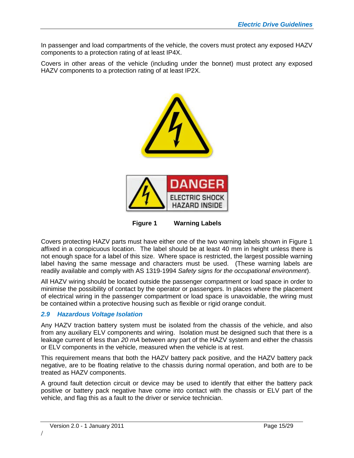In passenger and load compartments of the vehicle, the covers must protect any exposed HAZV components to a protection rating of at least IP4X.

Covers in other areas of the vehicle (including under the bonnet) must protect any exposed HAZV components to a protection rating of at least IP2X.



**Figure 1 Warning Labels**

Covers protecting HAZV parts must have either one of the two warning labels shown in Figure 1 affixed in a conspicuous location. The label should be at least 40 mm in height unless there is not enough space for a label of this size. Where space is restricted, the largest possible warning label having the same message and characters must be used. (These warning labels are readily available and comply with AS 1319-1994 *Safety signs for the occupational environment*).

All HAZV wiring should be located outside the passenger compartment or load space in order to minimise the possibility of contact by the operator or passengers. In places where the placement of electrical wiring in the passenger compartment or load space is unavoidable, the wiring must be contained within a protective housing such as flexible or rigid orange conduit.

#### <span id="page-14-0"></span>*2.9 Hazardous Voltage Isolation*

Any HAZV traction battery system must be isolated from the chassis of the vehicle, and also from any auxiliary ELV components and wiring. Isolation must be designed such that there is a leakage current of less than *20 mA* between any part of the HAZV system and either the chassis or ELV components in the vehicle, measured when the vehicle is at rest.

This requirement means that both the HAZV battery pack positive, and the HAZV battery pack negative, are to be floating relative to the chassis during normal operation, and both are to be treated as HAZV components.

A ground fault detection circuit or device may be used to identify that either the battery pack positive or battery pack negative have come into contact with the chassis or ELV part of the vehicle, and flag this as a fault to the driver or service technician.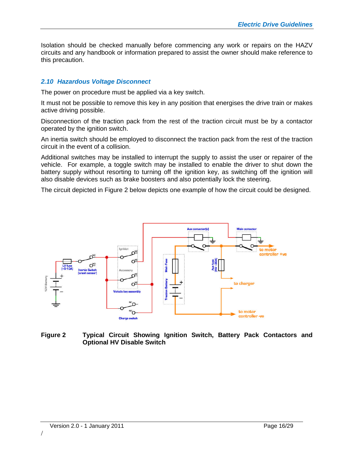Isolation should be checked manually before commencing any work or repairs on the HAZV circuits and any handbook or information prepared to assist the owner should make reference to this precaution.

#### <span id="page-15-0"></span>*2.10 Hazardous Voltage Disconnect*

The power on procedure must be applied via a key switch.

It must not be possible to remove this key in any position that energises the drive train or makes active driving possible.

Disconnection of the traction pack from the rest of the traction circuit must be by a contactor operated by the ignition switch.

An inertia switch should be employed to disconnect the traction pack from the rest of the traction circuit in the event of a collision.

Additional switches may be installed to interrupt the supply to assist the user or repairer of the vehicle. For example, a toggle switch may be installed to enable the driver to shut down the battery supply without resorting to turning off the ignition key, as switching off the ignition will also disable devices such as brake boosters and also potentially lock the steering.

The circuit depicted in Figure 2 below depicts one example of how the circuit could be designed.



**Figure 2 Typical Circuit Showing Ignition Switch, Battery Pack Contactors and Optional HV Disable Switch**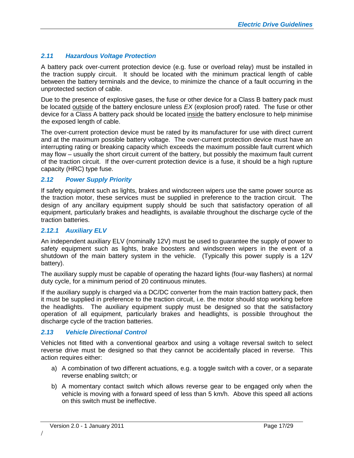#### <span id="page-16-0"></span>*2.11 Hazardous Voltage Protection*

A battery pack over-current protection device (e.g. fuse or overload relay) must be installed in the traction supply circuit. It should be located with the minimum practical length of cable between the battery terminals and the device, to minimize the chance of a fault occurring in the unprotected section of cable.

Due to the presence of explosive gases, the fuse or other device for a Class B battery pack must be located outside of the battery enclosure unless *EX* (explosion proof) rated. The fuse or other device for a Class A battery pack should be located inside the battery enclosure to help minimise the exposed length of cable.

The over-current protection device must be rated by its manufacturer for use with direct current and at the maximum possible battery voltage. The over-current protection device must have an interrupting rating or breaking capacity which exceeds the maximum possible fault current which may flow – usually the short circuit current of the battery, but possibly the maximum fault current of the traction circuit. If the over-current protection device is a fuse, it should be a high rupture capacity (HRC) type fuse.

#### <span id="page-16-1"></span>*2.12 Power Supply Priority*

If safety equipment such as lights, brakes and windscreen wipers use the same power source as the traction motor, these services must be supplied in preference to the traction circuit. The design of any ancillary equipment supply should be such that satisfactory operation of all equipment, particularly brakes and headlights, is available throughout the discharge cycle of the traction batteries.

#### <span id="page-16-2"></span>*2.12.1 Auxiliary ELV*

An independent auxiliary ELV (nominally 12V) must be used to guarantee the supply of power to safety equipment such as lights, brake boosters and windscreen wipers in the event of a shutdown of the main battery system in the vehicle. (Typically this power supply is a 12V battery).

The auxiliary supply must be capable of operating the hazard lights (four-way flashers) at normal duty cycle, for a minimum period of 20 continuous minutes.

If the auxiliary supply is charged via a DC/DC converter from the main traction battery pack, then it must be supplied in preference to the traction circuit, i.e. the motor should stop working before the headlights. The auxiliary equipment supply must be designed so that the satisfactory operation of all equipment, particularly brakes and headlights, is possible throughout the discharge cycle of the traction batteries.

#### <span id="page-16-3"></span>*2.13 Vehicle Directional Control*

Vehicles not fitted with a conventional gearbox and using a voltage reversal switch to select reverse drive must be designed so that they cannot be accidentally placed in reverse. This action requires either:

- a) A combination of two different actuations, e.g. a toggle switch with a cover, or a separate reverse enabling switch; or
- b) A momentary contact switch which allows reverse gear to be engaged only when the vehicle is moving with a forward speed of less than 5 km/h. Above this speed all actions on this switch must be ineffective.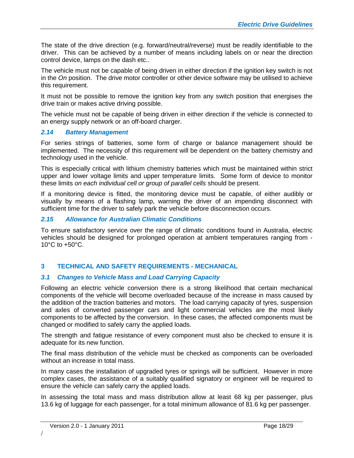The state of the drive direction (e.g. forward/neutral/reverse) must be readily identifiable to the driver. This can be achieved by a number of means including labels on or near the direction control device, lamps on the dash etc..

The vehicle must not be capable of being driven in either direction if the ignition key switch is not in the *On* position. The drive motor controller or other device software may be utilised to achieve this requirement.

It must not be possible to remove the ignition key from any switch position that energises the drive train or makes active driving possible.

The vehicle must not be capable of being driven in either direction if the vehicle is connected to an energy supply network or an off-board charger.

#### <span id="page-17-0"></span>*2.14 Battery Management*

For series strings of batteries, some form of charge or balance management should be implemented. The necessity of this requirement will be dependent on the battery chemistry and technology used in the vehicle.

This is especially critical with lithium chemistry batteries which must be maintained within strict upper and lower voltage limits and upper temperature limits. Some form of device to monitor these limits *on each individual cell or group of parallel cells* should be present.

If a monitoring device is fitted, the monitoring device must be capable, of either audibly or visually by means of a flashing lamp, warning the driver of an impending disconnect with sufficient time for the driver to safely park the vehicle before disconnection occurs.

#### <span id="page-17-1"></span>*2.15 Allowance for Australian Climatic Conditions*

To ensure satisfactory service over the range of climatic conditions found in Australia, electric vehicles should be designed for prolonged operation at ambient temperatures ranging from - 10°C to +50°C.

#### <span id="page-17-2"></span>**3 TECHNICAL AND SAFETY REQUIREMENTS - MECHANICAL**

#### <span id="page-17-3"></span>*3.1 Changes to Vehicle Mass and Load Carrying Capacity*

Following an electric vehicle conversion there is a strong likelihood that certain mechanical components of the vehicle will become overloaded because of the increase in mass caused by the addition of the traction batteries and motors. The load carrying capacity of tyres, suspension and axles of converted passenger cars and light commercial vehicles are the most likely components to be affected by the conversion. In these cases, the affected components must be changed or modified to safely carry the applied loads.

The strength and fatigue resistance of every component must also be checked to ensure it is adequate for its new function.

The final mass distribution of the vehicle must be checked as components can be overloaded without an increase in total mass.

In many cases the installation of upgraded tyres or springs will be sufficient. However in more complex cases, the assistance of a suitably qualified signatory or engineer will be required to ensure the vehicle can safely carry the applied loads.

In assessing the total mass and mass distribution allow at least 68 kg per passenger, plus 13.6 kg of luggage for each passenger, for a total minimum allowance of 81.6 kg per passenger.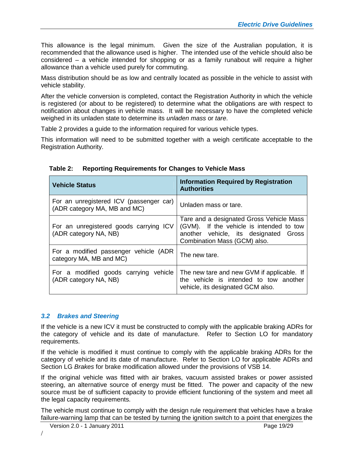This allowance is the legal minimum. Given the size of the Australian population, it is recommended that the allowance used is higher. The intended use of the vehicle should also be considered – a vehicle intended for shopping or as a family runabout will require a higher allowance than a vehicle used purely for commuting.

Mass distribution should be as low and centrally located as possible in the vehicle to assist with vehicle stability.

After the vehicle conversion is completed, contact the Registration Authority in which the vehicle is registered (or about to be registered) to determine what the obligations are with respect to notification about changes in vehicle mass. It will be necessary to have the completed vehicle weighed in its unladen state to determine its *unladen mass* or *tare*.

Table 2 provides a guide to the information required for various vehicle types.

This information will need to be submitted together with a weigh certificate acceptable to the Registration Authority.

| <b>Vehicle Status</b>                                                   | <b>Information Required by Registration</b><br><b>Authorities</b>                                                                                             |
|-------------------------------------------------------------------------|---------------------------------------------------------------------------------------------------------------------------------------------------------------|
| For an unregistered ICV (passenger car)<br>(ADR category MA, MB and MC) | Unladen mass or tare.                                                                                                                                         |
| For an unregistered goods carrying ICV<br>(ADR category NA, NB)         | Tare and a designated Gross Vehicle Mass<br>(GVM). If the vehicle is intended to tow<br>another vehicle, its designated Gross<br>Combination Mass (GCM) also. |
| For a modified passenger vehicle (ADR<br>category MA, MB and MC)        | The new tare.                                                                                                                                                 |
| For a modified goods carrying vehicle<br>(ADR category NA, NB)          | The new tare and new GVM if applicable. If<br>the vehicle is intended to tow another<br>vehicle, its designated GCM also.                                     |

#### **Table 2: Reporting Requirements for Changes to Vehicle Mass**

#### <span id="page-18-0"></span>*3.2 Brakes and Steering*

If the vehicle is a new ICV it must be constructed to comply with the applicable braking ADRs for the category of vehicle and its date of manufacture. Refer to Section LO for mandatory requirements.

If the vehicle is modified it must continue to comply with the applicable braking ADRs for the category of vehicle and its date of manufacture. Refer to Section LO for applicable ADRs and Section LG *Brakes* for brake modification allowed under the provisions of VSB 14.

If the original vehicle was fitted with air brakes, vacuum assisted brakes or power assisted steering, an alternative source of energy must be fitted. The power and capacity of the new source must be of sufficient capacity to provide efficient functioning of the system and meet all the legal capacity requirements.

The vehicle must continue to comply with the design rule requirement that vehicles have a brake failure-warning lamp that can be tested by turning the ignition switch to a point that energizes the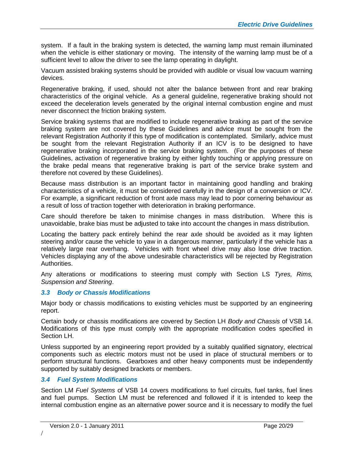system. If a fault in the braking system is detected, the warning lamp must remain illuminated when the vehicle is either stationary or moving. The intensity of the warning lamp must be of a sufficient level to allow the driver to see the lamp operating in daylight.

Vacuum assisted braking systems should be provided with audible or visual low vacuum warning devices.

Regenerative braking, if used, should not alter the balance between front and rear braking characteristics of the original vehicle. As a general guideline, regenerative braking should not exceed the deceleration levels generated by the original internal combustion engine and must never disconnect the friction braking system.

Service braking systems that are modified to include regenerative braking as part of the service braking system are not covered by these Guidelines and advice must be sought from the relevant Registration Authority if this type of modification is contemplated. Similarly, advice must be sought from the relevant Registration Authority if an ICV is to be designed to have regenerative braking incorporated in the service braking system. (For the purposes of these Guidelines, activation of regenerative braking by either lightly touching or applying pressure on the brake pedal means that regenerative braking is part of the service brake system and therefore not covered by these Guidelines).

Because mass distribution is an important factor in maintaining good handling and braking characteristics of a vehicle, it must be considered carefully in the design of a conversion or ICV. For example, a significant reduction of front axle mass may lead to poor cornering behaviour as a result of loss of traction together with deterioration in braking performance.

Care should therefore be taken to minimise changes in mass distribution. Where this is unavoidable, brake bias must be adjusted to take into account the changes in mass distribution.

Locating the battery pack entirely behind the rear axle should be avoided as it may lighten steering and/or cause the vehicle to yaw in a dangerous manner, particularly if the vehicle has a relatively large rear overhang. Vehicles with front wheel drive may also lose drive traction. Vehicles displaying any of the above undesirable characteristics will be rejected by Registration Authorities.

Any alterations or modifications to steering must comply with Section LS *Tyres, Rims, Suspension and Steering*.

#### <span id="page-19-0"></span>*3.3 Body or Chassis Modifications*

Major body or chassis modifications to existing vehicles must be supported by an engineering report.

Certain body or chassis modifications are covered by Section LH *Body and Chassis* of VSB 14. Modifications of this type must comply with the appropriate modification codes specified in Section LH.

Unless supported by an engineering report provided by a suitably qualified signatory, electrical components such as electric motors must not be used in place of structural members or to perform structural functions. Gearboxes and other heavy components must be independently supported by suitably designed brackets or members.

#### <span id="page-19-1"></span>*3.4 Fuel System Modifications*

Section LM *Fuel Systems* of VSB 14 covers modifications to fuel circuits, fuel tanks, fuel lines and fuel pumps. Section LM must be referenced and followed if it is intended to keep the internal combustion engine as an alternative power source and it is necessary to modify the fuel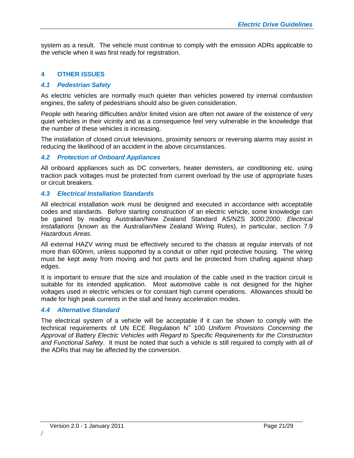system as a result. The vehicle must continue to comply with the emission ADRs applicable to the vehicle when it was first ready for registration.

#### <span id="page-20-0"></span>**4 OTHER ISSUES**

#### <span id="page-20-1"></span>*4.1 Pedestrian Safety*

As electric vehicles are normally much quieter than vehicles powered by internal combustion engines, the safety of pedestrians should also be given consideration.

People with hearing difficulties and/or limited vision are often not aware of the existence of very quiet vehicles in their vicinity and as a consequence feel very vulnerable in the knowledge that the number of these vehicles is increasing.

The installation of closed circuit televisions, proximity sensors or reversing alarms may assist in reducing the likelihood of an accident in the above circumstances.

#### <span id="page-20-2"></span>*4.2 Protection of Onboard Appliances*

All onboard appliances such as DC converters, heater demisters, air conditioning etc. using traction pack voltages must be protected from current overload by the use of appropriate fuses or circuit breakers.

#### <span id="page-20-3"></span>*4.3 Electrical Installation Standards*

All electrical installation work must be designed and executed in accordance with acceptable codes and standards. Before starting construction of an electric vehicle, some knowledge can be gained by reading Australian/New Zealand Standard AS/NZS 3000:2000*: Electrical installations* (known as the Australian/New Zealand Wiring Rules), in particular, section 7.9 *Hazardous Areas*.

All external HAZV wiring must be effectively secured to the chassis at regular intervals of not more than 600mm, unless supported by a conduit or other rigid protective housing. The wiring must be kept away from moving and hot parts and be protected from chafing against sharp edges.

It is important to ensure that the size and insulation of the cable used in the traction circuit is suitable for its intended application. Most automotive cable is not designed for the higher voltages used in electric vehicles or for constant high current operations. Allowances should be made for high peak currents in the stall and heavy acceleration modes.

#### <span id="page-20-4"></span>*4.4 Alternative Standard*

The electrical system of a vehicle will be acceptable if it can be shown to comply with the technical requirements of UN ECE Regulation N° 100 Uniform Provisions Concerning the *Approval of Battery Electric Vehicles with Regard to Specific Requirements for the Construction and Functional Safety*. It must be noted that such a vehicle is still required to comply with all of the ADRs that may be affected by the conversion.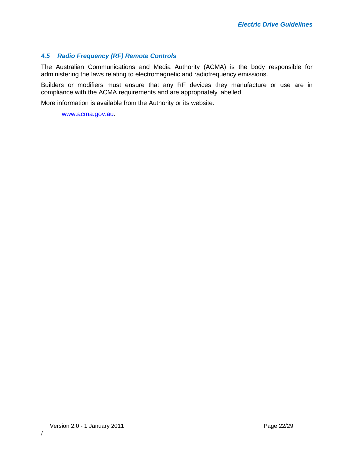#### <span id="page-21-0"></span>*4.5 Radio Frequency (RF) Remote Controls*

The Australian Communications and Media Authority (ACMA) is the body responsible for administering the laws relating to electromagnetic and radiofrequency emissions.

Builders or modifiers must ensure that any RF devices they manufacture or use are in compliance with the ACMA requirements and are appropriately labelled.

More information is available from the Authority or its website:

[www.acma.gov.au.](http://www.acma.gov.au/)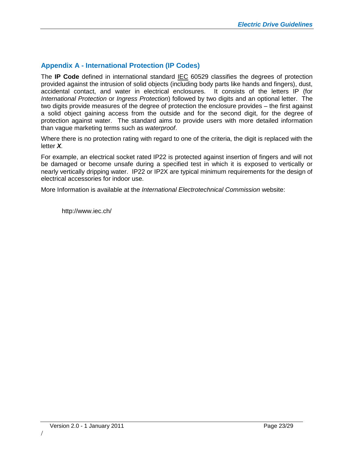#### <span id="page-22-0"></span>**Appendix A - International Protection (IP Codes)**

The **IP Code** definedin [international standard](http://en.wikipedia.org/wiki/International_standard) [IEC](http://en.wikipedia.org/wiki/International_Electrotechnical_Commission) 60529 classifies the degrees of protection provided against the intrusion of solid objects (including body parts like hands and fingers), dust, accidental contact, and waterin [electrical enclosures.](http://en.wikipedia.org/wiki/Electrical_enclosures) It consists of the letters IP (for *International Protection* or *Ingress Protection*) followed by two digits and an optional letter. The two digits provide measures of the degree of protection the enclosure provides – the first against a solid object gaining access from the outside and for the second digit, for the degree of protection against water. The standard aims to provide users with more detailed information than vague marketing terms such as *waterproof*.

Where there is no protection rating with regard to one of the criteria, the digit is replaced with the letter *X.*

For example, an electrical socket rated IP22 is protected against insertion of fingers and will not be damaged or become unsafe during a specified test in which it is exposed to vertically or nearly vertically dripping water. IP22 or IP2X are typical minimum requirements for the design of electrical accessories for indoor use.

More Information is available at the *International Electrotechnical Commission* website:

http://www.iec.ch/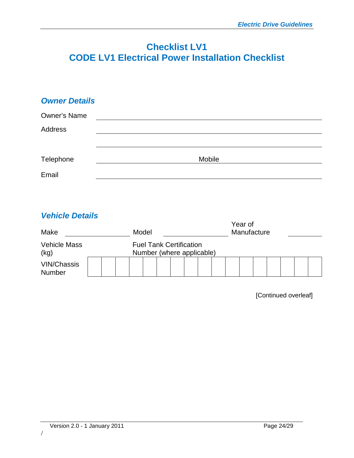## **Checklist LV1 CODE LV1 Electrical Power Installation Checklist**

| <b>Owner Details</b> |        |  |
|----------------------|--------|--|
| <b>Owner's Name</b>  |        |  |
| Address              |        |  |
|                      |        |  |
| Telephone            | Mobile |  |
| Email                |        |  |

### *Vehicle Details*

| Make<br><b>Vehicle Mass</b><br>(kg) |  | Model                                                       |  |  |  |  |  |  | Year of | Manufacture |  |  |  |  |
|-------------------------------------|--|-------------------------------------------------------------|--|--|--|--|--|--|---------|-------------|--|--|--|--|
|                                     |  | <b>Fuel Tank Certification</b><br>Number (where applicable) |  |  |  |  |  |  |         |             |  |  |  |  |
| <b>VIN/Chassis</b><br>Number        |  |                                                             |  |  |  |  |  |  |         |             |  |  |  |  |

[Continued overleaf]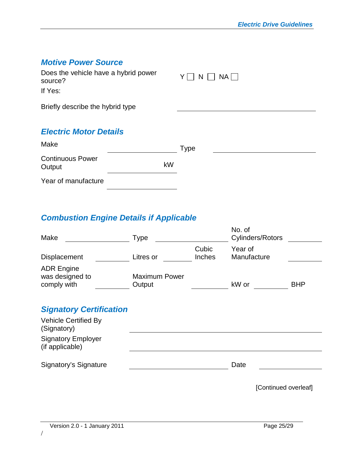| <b>Motive Power Source</b><br>Does the vehicle have a hybrid power<br>source?<br>If Yes: |    | $NA$    <br>N |
|------------------------------------------------------------------------------------------|----|---------------|
| Briefly describe the hybrid type                                                         |    |               |
| <b>Electric Motor Details</b>                                                            |    |               |
| Make                                                                                     |    | <b>Type</b>   |
| <b>Continuous Power</b><br>Output                                                        | kW |               |
| Year of manufacture                                                                      |    |               |

## *Combustion Engine Details if Applicable*

| Make                                                | <b>Type</b>                    |                 | No. of<br>Cylinders/Rotors |            |
|-----------------------------------------------------|--------------------------------|-----------------|----------------------------|------------|
| Displacement                                        | Litres or                      | Cubic<br>Inches | Year of<br>Manufacture     |            |
| <b>ADR Engine</b><br>was designed to<br>comply with | <b>Maximum Power</b><br>Output |                 | kW or                      | <b>BHP</b> |
| <b>Signatory Certification</b>                      |                                |                 |                            |            |
| <b>Vehicle Certified By</b><br>(Signatory)          |                                |                 |                            |            |
| <b>Signatory Employer</b><br>(if applicable)        |                                |                 |                            |            |
| Signatory's Signature                               |                                |                 | Date                       |            |
|                                                     |                                |                 | [Continued overleaf]       |            |

/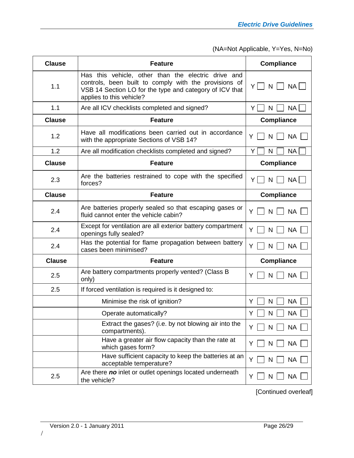| <b>Clause</b> | <b>Feature</b>                                                                                                                                                                                      | <b>Compliance</b>              |
|---------------|-----------------------------------------------------------------------------------------------------------------------------------------------------------------------------------------------------|--------------------------------|
| 1.1           | Has this vehicle, other than the electric drive and<br>controls, been built to comply with the provisions of<br>VSB 14 Section LO for the type and category of ICV that<br>applies to this vehicle? | $Y \mid \cdot$<br>N<br>NA      |
| 1.1           | Are all ICV checklists completed and signed?                                                                                                                                                        | <b>NA</b><br>Y    <br>N        |
| <b>Clause</b> | <b>Feature</b>                                                                                                                                                                                      | <b>Compliance</b>              |
| 1.2           | Have all modifications been carried out in accordance<br>with the appropriate Sections of VSB 14?                                                                                                   | <b>NA</b><br>Y<br>N            |
| 1.2           | Are all modification checklists completed and signed?                                                                                                                                               | Y<br><b>NA</b><br>N            |
| <b>Clause</b> | <b>Feature</b>                                                                                                                                                                                      | <b>Compliance</b>              |
| 2.3           | Are the batteries restrained to cope with the specified<br>forces?                                                                                                                                  | NA  <br>Υl<br>N                |
| <b>Clause</b> | <b>Feature</b>                                                                                                                                                                                      | <b>Compliance</b>              |
| 2.4           | Are batteries properly sealed so that escaping gases or<br>fluid cannot enter the vehicle cabin?                                                                                                    | <b>NA</b><br>N<br>Y            |
| 2.4           | Except for ventilation are all exterior battery compartment<br>openings fully sealed?                                                                                                               | <b>NA</b><br>N<br>Y            |
| 2.4           | Has the potential for flame propagation between battery<br>cases been minimised?                                                                                                                    | <b>NA</b><br>Y<br>$\mathsf{N}$ |
| <b>Clause</b> | <b>Feature</b>                                                                                                                                                                                      | <b>Compliance</b>              |
| 2.5           | Are battery compartments properly vented? (Class B<br>only)                                                                                                                                         | <b>NA</b><br>Y<br>N            |
| 2.5           | If forced ventilation is required is it designed to:                                                                                                                                                |                                |
|               | Minimise the risk of ignition?                                                                                                                                                                      | <b>NA</b><br>Y<br>N            |
|               | Operate automatically?                                                                                                                                                                              | Υ<br><b>NA</b><br>N            |
|               | Extract the gases? (i.e. by not blowing air into the<br>compartments).                                                                                                                              | <b>NA</b><br>Y<br>N            |
|               | Have a greater air flow capacity than the rate at<br>which gases form?                                                                                                                              | <b>NA</b><br>N<br>Y            |
|               | Have sufficient capacity to keep the batteries at an<br>acceptable temperature?                                                                                                                     | <b>NA</b><br>Y<br>N            |
| 2.5           | Are there no inlet or outlet openings located underneath<br>the vehicle?                                                                                                                            | NA.<br>N<br>Y                  |

[Continued overleaf]

/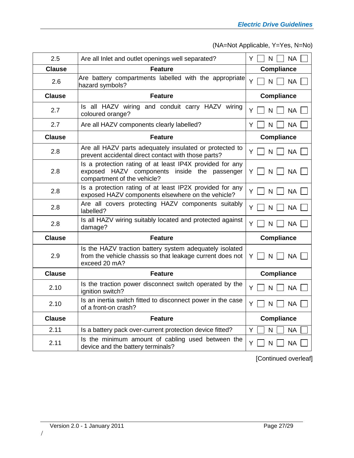| 2.5           | Are all Inlet and outlet openings well separated?                                                                                       | Y<br><b>NA</b><br>N             |
|---------------|-----------------------------------------------------------------------------------------------------------------------------------------|---------------------------------|
| Clause        | <b>Feature</b>                                                                                                                          | <b>Compliance</b>               |
| 2.6           | Are battery compartments labelled with the appropriate<br>hazard symbols?                                                               | Y<br>N<br><b>NA</b>             |
| <b>Clause</b> | <b>Feature</b>                                                                                                                          | <b>Compliance</b>               |
| 2.7           | Is all HAZV wiring and conduit carry HAZV wiring<br>coloured orange?                                                                    | <b>NA</b><br>Y<br>N             |
| 2.7           | Are all HAZV components clearly labelled?                                                                                               | <b>NA</b><br>Y<br>N             |
| <b>Clause</b> | <b>Feature</b>                                                                                                                          | <b>Compliance</b>               |
| 2.8           | Are all HAZV parts adequately insulated or protected to<br>prevent accidental direct contact with those parts?                          | N<br><b>NA</b><br>ΥI            |
| 2.8           | Is a protection rating of at least IP4X provided for any<br>exposed HAZV components inside the passenger<br>compartment of the vehicle? | $\mathsf{N}$<br><b>NA</b><br>ΥI |
| 2.8           | Is a protection rating of at least IP2X provided for any<br>exposed HAZV components elsewhere on the vehicle?                           | Y<br><b>NA</b><br>$\mathsf{N}$  |
| 2.8           | Are all covers protecting HAZV components suitably<br>labelled?                                                                         | <b>NA</b><br>Y<br>N             |
| 2.8           | Is all HAZV wiring suitably located and protected against<br>damage?                                                                    | Y<br>N<br><b>NA</b>             |
| <b>Clause</b> | <b>Feature</b>                                                                                                                          | <b>Compliance</b>               |
| 2.9           | Is the HAZV traction battery system adequately isolated<br>from the vehicle chassis so that leakage current does not<br>exceed 20 mA?   | $N$    <br><b>NA</b><br>YII     |
| <b>Clause</b> | <b>Feature</b>                                                                                                                          | <b>Compliance</b>               |
| 2.10          | Is the traction power disconnect switch operated by the<br>ignition switch?                                                             | <b>NA</b><br>Y<br>N             |
| 2.10          | Is an inertia switch fitted to disconnect power in the case<br>of a front-on crash?                                                     | <b>NA</b><br>Y<br>$\mathsf{N}$  |
| <b>Clause</b> | <b>Feature</b>                                                                                                                          | <b>Compliance</b>               |
| 2.11          | Is a battery pack over-current protection device fitted?                                                                                | <b>NA</b><br>Y<br>N             |
| 2.11          | Is the minimum amount of cabling used between the<br>device and the battery terminals?                                                  | Y<br><b>NA</b><br>N             |

[Continued overleaf]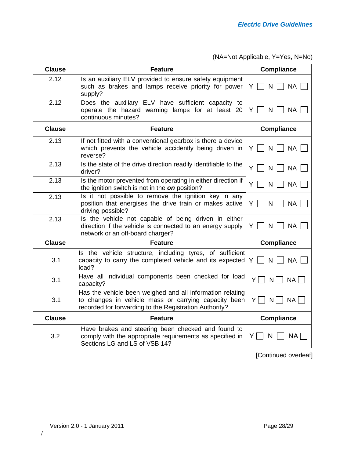| <b>Clause</b> | <b>Feature</b>                                                                                                                                                              | <b>Compliance</b>               |
|---------------|-----------------------------------------------------------------------------------------------------------------------------------------------------------------------------|---------------------------------|
| 2.12          | Is an auxiliary ELV provided to ensure safety equipment<br>such as brakes and lamps receive priority for power<br>supply?                                                   | <b>NA</b><br>ΥI<br>N            |
| 2.12          | Does the auxiliary ELV have sufficient capacity to<br>operate the hazard warning lamps for at least 20<br>continuous minutes?                                               | $\mathsf{N}$<br><b>NA</b><br>Y  |
| <b>Clause</b> | <b>Feature</b>                                                                                                                                                              | <b>Compliance</b>               |
| 2.13          | If not fitted with a conventional gearbox is there a device<br>which prevents the vehicle accidently being driven in<br>reverse?                                            | N<br><b>NA</b><br>ΥI            |
| 2.13          | Is the state of the drive direction readily identifiable to the<br>driver?                                                                                                  | <b>NA</b><br>Y<br>N             |
| 2.13          | Is the motor prevented from operating in either direction if<br>the ignition switch is not in the on position?                                                              | <b>NA</b><br>ΥI<br>N            |
| 2.13          | Is it not possible to remove the ignition key in any<br>position that energises the drive train or makes active<br>driving possible?                                        | $Y \mid \mid N \mid \mid$<br>NA |
| 2.13          | Is the vehicle not capable of being driven in either<br>direction if the vehicle is connected to an energy supply<br>network or an off-board charger?                       | $\mathsf{N}$<br><b>NA</b><br>Y  |
| <b>Clause</b> | <b>Feature</b>                                                                                                                                                              | <b>Compliance</b>               |
| 3.1           | Is the vehicle structure, including tyres, of sufficient<br>capacity to carry the completed vehicle and its expected<br>load?                                               | NA<br>$\mathsf{N}$<br>YII       |
| 3.1           | Have all individual components been checked for load<br>capacity?                                                                                                           | $Y\Box$<br>NA<br>$N$            |
| 3.1           | Has the vehicle been weighed and all information relating<br>to changes in vehicle mass or carrying capacity been<br>recorded for forwarding to the Registration Authority? | Υl<br>N<br><b>NA</b>            |
| <b>Clause</b> | <b>Feature</b>                                                                                                                                                              | <b>Compliance</b>               |
| 3.2           | Have brakes and steering been checked and found to<br>comply with the appropriate requirements as specified in<br>Sections LG and LS of VSB 14?                             | ΥI<br><b>NA</b><br>N            |

[Continued overleaf]